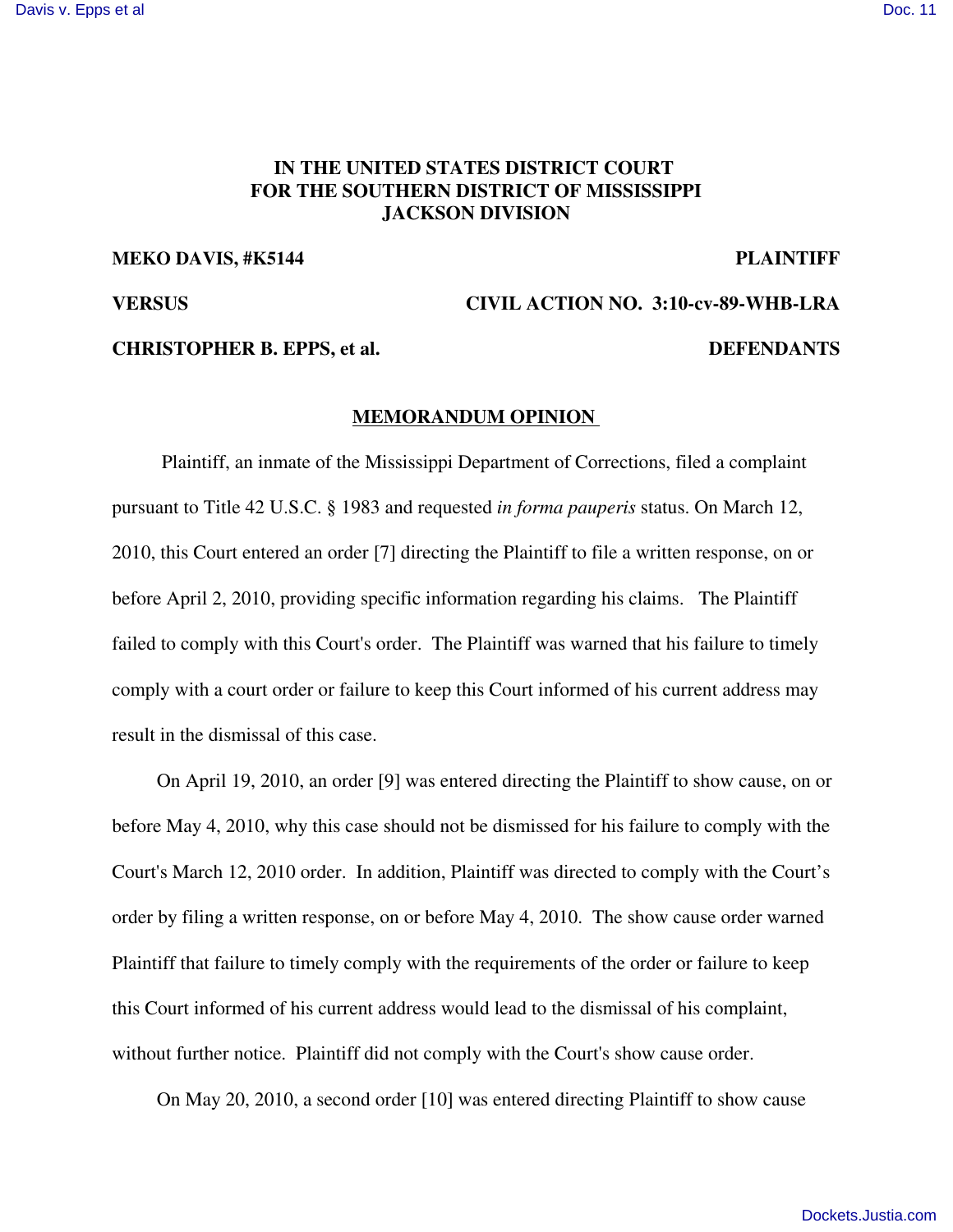# **IN THE UNITED STATES DISTRICT COURT FOR THE SOUTHERN DISTRICT OF MISSISSIPPI JACKSON DIVISION**

## **MEKO DAVIS, #K5144 PLAINTIFF**

**VERSUS CIVIL ACTION NO. 3:10-cv-89-WHB-LRA**

### **CHRISTOPHER B. EPPS, et al. DEFENDANTS**

### **MEMORANDUM OPINION**

Plaintiff, an inmate of the Mississippi Department of Corrections, filed a complaint pursuant to Title 42 U.S.C. § 1983 and requested *in forma pauperis* status. On March 12, 2010, this Court entered an order [7] directing the Plaintiff to file a written response, on or before April 2, 2010, providing specific information regarding his claims. The Plaintiff failed to comply with this Court's order. The Plaintiff was warned that his failure to timely comply with a court order or failure to keep this Court informed of his current address may result in the dismissal of this case.

On April 19, 2010, an order [9] was entered directing the Plaintiff to show cause, on or before May 4, 2010, why this case should not be dismissed for his failure to comply with the Court's March 12, 2010 order. In addition, Plaintiff was directed to comply with the Court's order by filing a written response, on or before May 4, 2010. The show cause order warned Plaintiff that failure to timely comply with the requirements of the order or failure to keep this Court informed of his current address would lead to the dismissal of his complaint, without further notice. Plaintiff did not comply with the Court's show cause order.

On May 20, 2010, a second order [10] was entered directing Plaintiff to show cause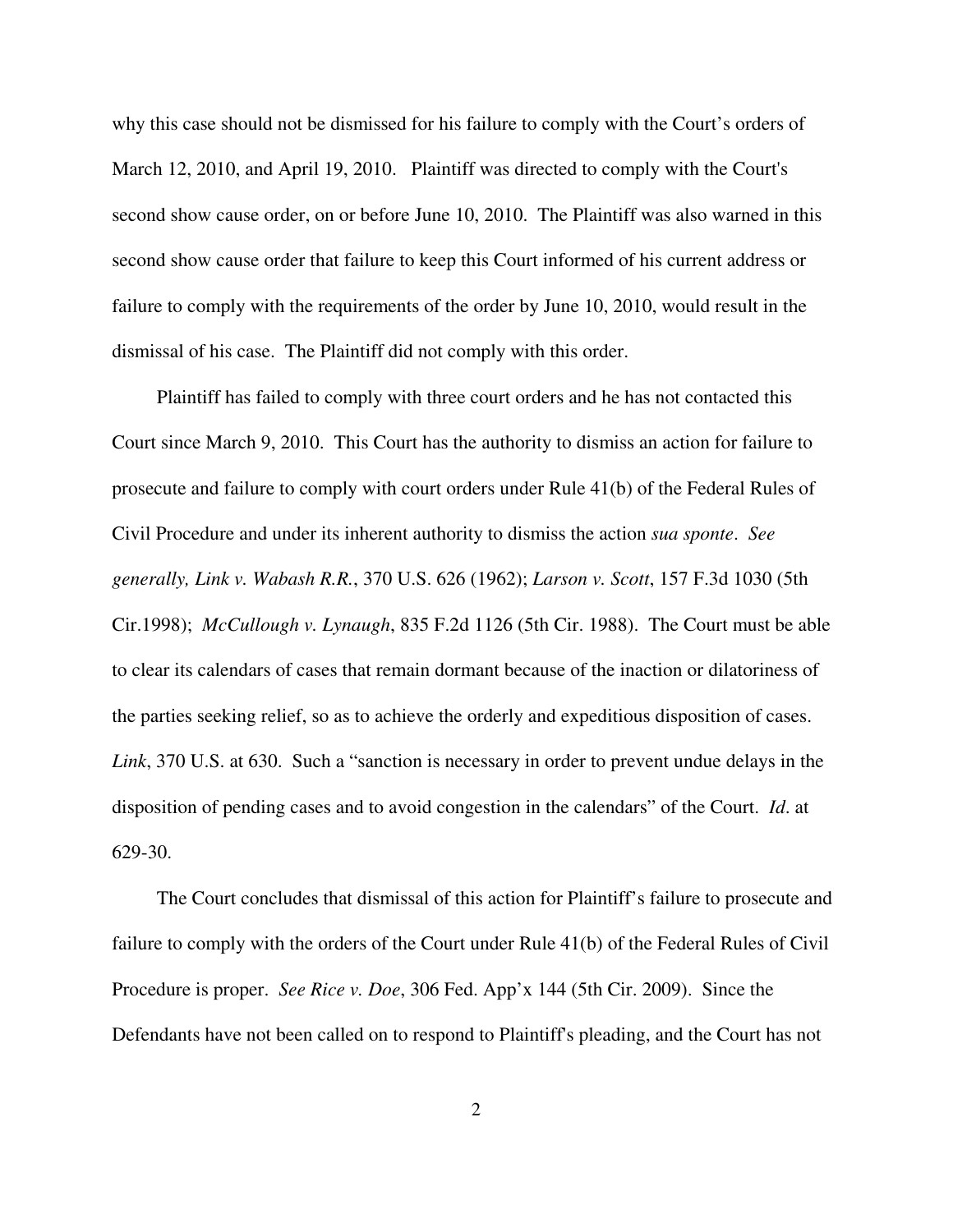why this case should not be dismissed for his failure to comply with the Court's orders of March 12, 2010, and April 19, 2010. Plaintiff was directed to comply with the Court's second show cause order, on or before June 10, 2010. The Plaintiff was also warned in this second show cause order that failure to keep this Court informed of his current address or failure to comply with the requirements of the order by June 10, 2010, would result in the dismissal of his case. The Plaintiff did not comply with this order.

Plaintiff has failed to comply with three court orders and he has not contacted this Court since March 9, 2010. This Court has the authority to dismiss an action for failure to prosecute and failure to comply with court orders under Rule 41(b) of the Federal Rules of Civil Procedure and under its inherent authority to dismiss the action *sua sponte*. *See generally, Link v. Wabash R.R.*, 370 U.S. 626 (1962); *Larson v. Scott*, 157 F.3d 1030 (5th Cir.1998); *McCullough v. Lynaugh*, 835 F.2d 1126 (5th Cir. 1988). The Court must be able to clear its calendars of cases that remain dormant because of the inaction or dilatoriness of the parties seeking relief, so as to achieve the orderly and expeditious disposition of cases. *Link*, 370 U.S. at 630. Such a "sanction is necessary in order to prevent undue delays in the disposition of pending cases and to avoid congestion in the calendars" of the Court. *Id*. at 629-30.

The Court concludes that dismissal of this action for Plaintiff's failure to prosecute and failure to comply with the orders of the Court under Rule 41(b) of the Federal Rules of Civil Procedure is proper. *See Rice v. Doe*, 306 Fed. App'x 144 (5th Cir. 2009). Since the Defendants have not been called on to respond to Plaintiff's pleading, and the Court has not

2